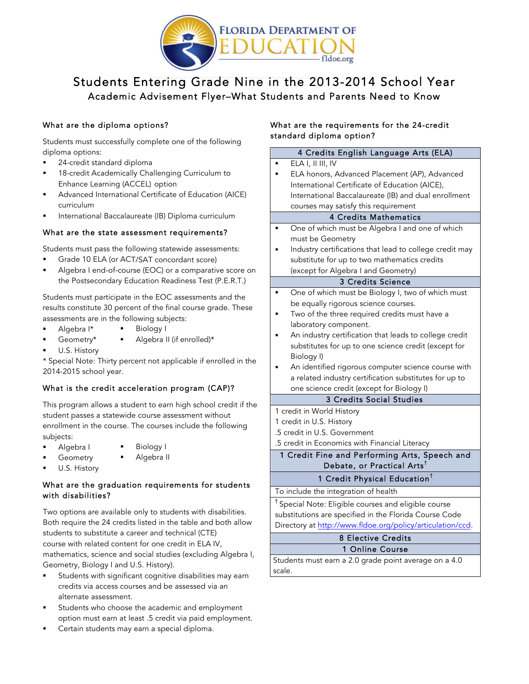

# Students Entering Grade Nine in the 2013-2014 School Year Academic Advisement Flyer–What Students and Parents Need to Know

# What are the diploma options?

 Students must successfully complete one of the following diploma options:

- **24-credit standard diploma**
- **18-credit Academically Challenging Curriculum to** Enhance Learning (ACCEL) option
- ! Advanced International Certificate of Education (AICE) curriculum
- **I** International Baccalaureate (IB) Diploma curriculum

#### What are the state assessment requirements?

Students must pass the following statewide assessments:

- ! Grade 10 ELA (or ACT/SAT concordant score)
- ! Algebra I end-of-course (EOC) or a comparative score on the Postsecondary Education Readiness Test (P.E.R.T.)

 Students must participate in the EOC assessments and the results constitute 30 percent of the final course grade. These assessments are in the following subjects:

- ! Algebra I\* ! Biology I
- ! Geometry\* Algebra II (if enrolled)\*
- U.S. History

 \* Special Note: Thirty percent not applicable if enrolled in the 2014-2015 school year.

# What is the credit acceleration program (CAP)?

 This program allows a student to earn high school credit if the student passes a statewide course assessment without enrollment in the course. The courses include the following subjects:

**Biology I** 

- Algebra I
- **Geometry** Algebra II
- U.S. History

#### What are the graduation requirements for students with disabilities?

 Both require the 24 credits listed in the table and both allow students to substitute a career and technical (CTE) course with related content for one credit in ELA IV, mathematics, science and social studies (excluding Algebra I, Geometry, Biology I and U.S. History). Two options are available only to students with disabilities.

- **EXEC** Students with significant cognitive disabilities may earn credits via access courses and be assessed via an alternate assessment.
- **EXEDENTER** Students who choose the academic and employment option must earn at least .5 credit via paid employment.
- **EXEC** Certain students may earn a special diploma.

# What are the requirements for the 24-credit standard diploma option?

| 4 Credits English Language Arts (ELA)                           |
|-----------------------------------------------------------------|
| ELA I, II III, IV                                               |
| ELA honors, Advanced Placement (AP), Advanced                   |
| International Certificate of Education (AICE),                  |
| International Baccalaureate (IB) and dual enrollment            |
| courses may satisfy this requirement                            |
| <b>4 Credits Mathematics</b>                                    |
| One of which must be Algebra I and one of which                 |
| must be Geometry                                                |
| Industry certifications that lead to college credit may         |
| substitute for up to two mathematics credits                    |
| (except for Algebra I and Geometry)                             |
| 3 Credits Science                                               |
| One of which must be Biology I, two of which must               |
| be equally rigorous science courses.                            |
| Two of the three required credits must have a                   |
| laboratory component.                                           |
| An industry certification that leads to college credit          |
| substitutes for up to one science credit (except for            |
| Biology I)                                                      |
| An identified rigorous computer science course with             |
| a related industry certification substitutes for up to          |
| one science credit (except for Biology I)                       |
| <b>3 Credits Social Studies</b>                                 |
| 1 credit in World History                                       |
| 1 credit in U.S. History                                        |
| .5 credit in U.S. Government                                    |
| .5 credit in Economics with Financial Literacy                  |
| 1 Credit Fine and Performing Arts, Speech and                   |
| Debate, or Practical Arts <sup>t</sup>                          |
| <b>1 Credit Physical Education<sup>†</sup></b>                  |
| To include the integration of health                            |
| <sup>†</sup> Special Note: Eligible courses and eligible course |
| substitutions are specified in the Florida Course Code          |
| Directory at http://www.fldoe.org/policy/articulation/ccd.      |
| <b>8 Elective Credits</b>                                       |
| 1 Online Course                                                 |
| Students must earn a 2.0 grade point average on a 4.0           |
| scale.                                                          |